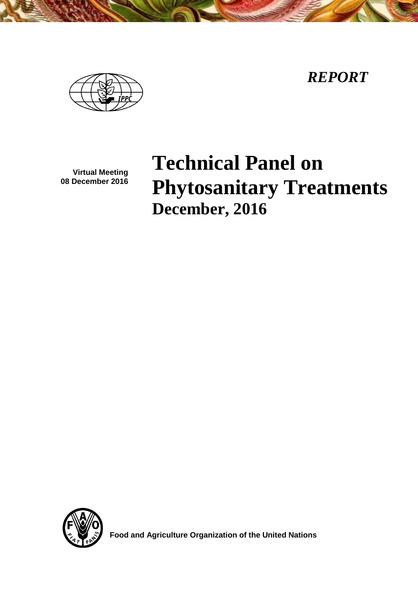*REPORT*



**Virtual Meeting 08 December 2016**

# **Technical Panel on Phytosanitary Treatments December, 2016**



 **Food and Agriculture Organization of the United Nations**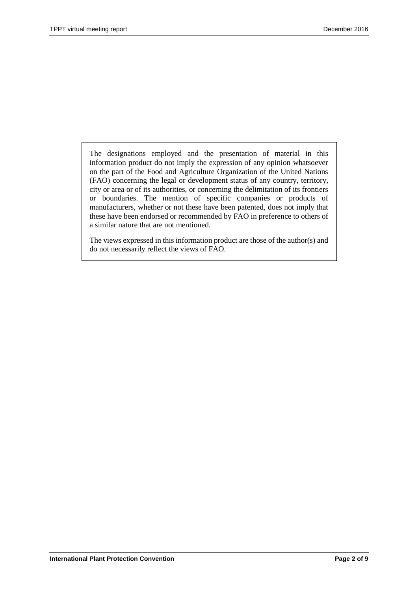The designations employed and the presentation of material in this information product do not imply the expression of any opinion whatsoever on the part of the Food and Agriculture Organization of the United Nations (FAO) concerning the legal or development status of any country, territory, city or area or of its authorities, or concerning the delimitation of its frontiers or boundaries. The mention of specific companies or products of manufacturers, whether or not these have been patented, does not imply that these have been endorsed or recommended by FAO in preference to others of a similar nature that are not mentioned.

The views expressed in this information product are those of the author(s) and do not necessarily reflect the views of FAO.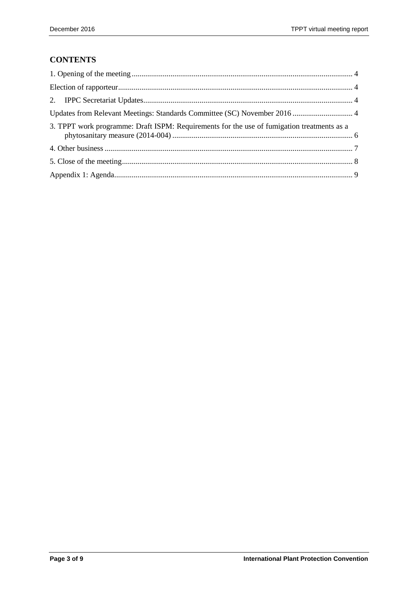# **CONTENTS**

| 3. TPPT work programme: Draft ISPM: Requirements for the use of fumigation treatments as a |  |
|--------------------------------------------------------------------------------------------|--|
|                                                                                            |  |
|                                                                                            |  |
|                                                                                            |  |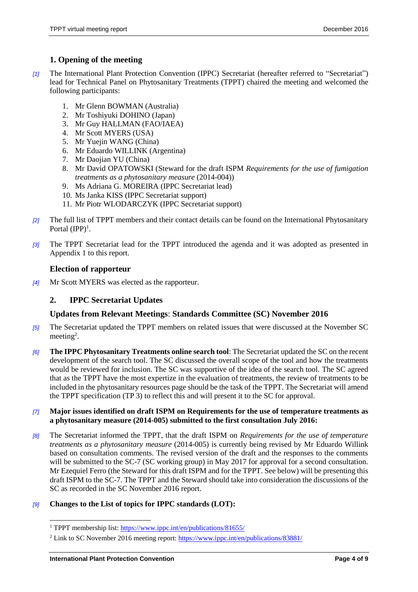## <span id="page-3-0"></span>**1. Opening of the meeting**

- *[1]* The International Plant Protection Convention (IPPC) Secretariat (hereafter referred to "Secretariat") lead for Technical Panel on Phytosanitary Treatments (TPPT) chaired the meeting and welcomed the following participants:
	- 1. Mr Glenn BOWMAN (Australia)
	- 2. Mr Toshiyuki DOHINO (Japan)
	- 3. Mr Guy HALLMAN (FAO/IAEA)
	- 4. Mr Scott MYERS (USA)
	- 5. Mr Yuejin WANG (China)
	- 6. Mr Eduardo WILLINK (Argentina)
	- 7. Mr Daojian YU (China)
	- 8. Mr David OPATOWSKI (Steward for the draft ISPM *Requirements for the use of fumigation treatments as a phytosanitary measure* (2014-004))
	- 9. Ms Adriana G. MOREIRA (IPPC Secretariat lead)
	- 10. Ms Janka KISS (IPPC Secretariat support)
	- 11. Mr Piotr WLODARCZYK (IPPC Secretariat support)
- *[2]* The full list of TPPT members and their contact details can be found on the International Phytosanitary Portal  $(IPP)^1$ .
- *[3]* The TPPT Secretariat lead for the TPPT introduced the agenda and it was adopted as presented in Appendix 1 to this report.

## <span id="page-3-1"></span>**Election of rapporteur**

*[4]* Mr Scott MYERS was elected as the rapporteur.

# <span id="page-3-2"></span>**2. IPPC Secretariat Updates**

#### <span id="page-3-3"></span>**Updates from Relevant Meetings**: **Standards Committee (SC) November 2016**

- *[5]* The Secretariat updated the TPPT members on related issues that were discussed at the November SC meeting<sup>2</sup>.
- *[6]* **The IPPC Phytosanitary Treatments online search tool**: The Secretariat updated the SC on the recent development of the search tool. The SC discussed the overall scope of the tool and how the treatments would be reviewed for inclusion. The SC was supportive of the idea of the search tool. The SC agreed that as the TPPT have the most expertize in the evaluation of treatments, the review of treatments to be included in the phytosanitary resources page should be the task of the TPPT. The Secretariat will amend the TPPT specification (TP 3) to reflect this and will present it to the SC for approval.

#### *[7]* **Major issues identified on draft ISPM on Requirements for the use of temperature treatments as a phytosanitary measure (2014-005) submitted to the first consultation July 2016:**

*[8]* The Secretariat informed the TPPT, that the draft ISPM on *Requirements for the use of temperature treatments as a phytosanitary measure* (2014-005) is currently being revised by Mr Eduardo Willink based on consultation comments. The revised version of the draft and the responses to the comments will be submitted to the SC-7 (SC working group) in May 2017 for approval for a second consultation. Mr Ezequiel Ferro (the Steward for this draft ISPM and for the TPPT. See below) will be presenting this draft ISPM to the SC-7. The TPPT and the Steward should take into consideration the discussions of the SC as recorded in the SC November 2016 report.

#### *[9]* **Changes to the List of topics for IPPC standards (LOT):**

 $\overline{a}$ 

<sup>&</sup>lt;sup>1</sup> TPPT membership list: https://www.ippc.int/en/publications/81655/

<sup>&</sup>lt;sup>2</sup> Link to SC November 2016 meeting report:<https://www.ippc.int/en/publications/83881/>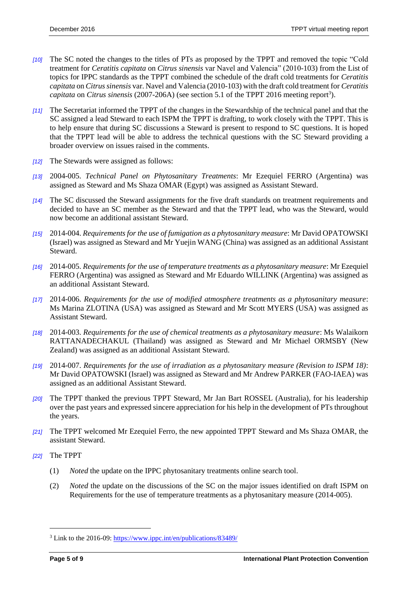- *[10]* The SC noted the changes to the titles of PTs as proposed by the TPPT and removed the topic "Cold treatment for *Ceratitis capitata* on *Citrus sinensis* var Navel and Valencia" (2010-103) from the List of topics for IPPC standards as the TPPT combined the schedule of the draft cold treatments for *Ceratitis capitata* on *Citrus sinensis* var. Navel and Valencia (2010-103) with the draft cold treatment for *Ceratitis*  capitata on *Citrus sinensis* (2007-206A) (see section 5.1 of the TPPT 2016 meeting report<sup>3</sup>).
- *[11]* The Secretariat informed the TPPT of the changes in the Stewardship of the technical panel and that the SC assigned a lead Steward to each ISPM the TPPT is drafting, to work closely with the TPPT. This is to help ensure that during SC discussions a Steward is present to respond to SC questions. It is hoped that the TPPT lead will be able to address the technical questions with the SC Steward providing a broader overview on issues raised in the comments.
- *[12]* The Stewards were assigned as follows:
- *[13]* 2004-005. *Technical Panel on Phytosanitary Treatments*: Mr Ezequiel FERRO (Argentina) was assigned as Steward and Ms Shaza OMAR (Egypt) was assigned as Assistant Steward.
- *[14]* The SC discussed the Steward assignments for the five draft standards on treatment requirements and decided to have an SC member as the Steward and that the TPPT lead, who was the Steward, would now become an additional assistant Steward.
- *[15]* 2014-004. *Requirements for the use of fumigation as a phytosanitary measure*: Mr David OPATOWSKI (Israel) was assigned as Steward and Mr Yuejin WANG (China) was assigned as an additional Assistant Steward.
- *[16]* 2014-005. *Requirements for the use of temperature treatments as a phytosanitary measure*: Mr Ezequiel FERRO (Argentina) was assigned as Steward and Mr Eduardo WILLINK (Argentina) was assigned as an additional Assistant Steward.
- *[17]* 2014-006. *Requirements for the use of modified atmosphere treatments as a phytosanitary measure*: Ms Marina ZLOTINA (USA) was assigned as Steward and Mr Scott MYERS (USA) was assigned as Assistant Steward.
- *[18]* 2014-003. *Requirements for the use of chemical treatments as a phytosanitary measure*: Ms Walaikorn RATTANADECHAKUL (Thailand) was assigned as Steward and Mr Michael ORMSBY (New Zealand) was assigned as an additional Assistant Steward.
- *[19]* 2014-007. *Requirements for the use of irradiation as a phytosanitary measure (Revision to ISPM 18)*: Mr David OPATOWSKI (Israel) was assigned as Steward and Mr Andrew PARKER (FAO-IAEA) was assigned as an additional Assistant Steward.
- *[20]* The TPPT thanked the previous TPPT Steward, Mr Jan Bart ROSSEL (Australia), for his leadership over the past years and expressed sincere appreciation for his help in the development of PTs throughout the years.
- *[21]* The TPPT welcomed Mr Ezequiel Ferro, the new appointed TPPT Steward and Ms Shaza OMAR, the assistant Steward.
- *[22]* The TPPT

 $\overline{a}$ 

- (1) *Noted* the update on the IPPC phytosanitary treatments online search tool.
- (2) *Noted* the update on the discussions of the SC on the major issues identified on draft ISPM on Requirements for the use of temperature treatments as a phytosanitary measure (2014-005).

<sup>3</sup> Link to the 2016-09[: https://www.ippc.int/en/publications/83489/](https://www.ippc.int/en/publications/83489/)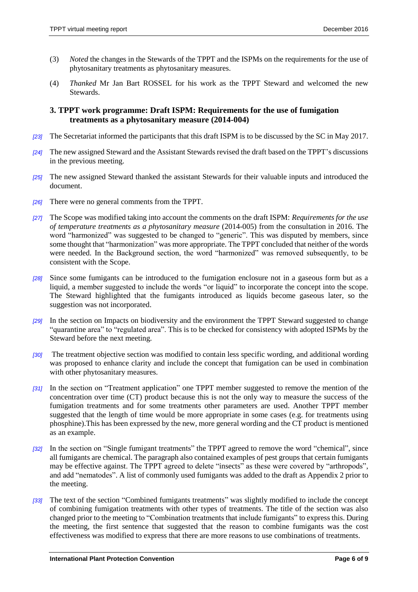- (3) *Noted* the changes in the Stewards of the TPPT and the ISPMs on the requirements for the use of phytosanitary treatments as phytosanitary measures.
- (4) *Thanked* Mr Jan Bart ROSSEL for his work as the TPPT Steward and welcomed the new Stewards.

#### <span id="page-5-0"></span>**3. TPPT work programme: Draft ISPM: Requirements for the use of fumigation treatments as a phytosanitary measure (2014-004)**

- *[23]* The Secretariat informed the participants that this draft ISPM is to be discussed by the SC in May 2017.
- *[24]* The new assigned Steward and the Assistant Stewards revised the draft based on the TPPT's discussions in the previous meeting.
- *[25]* The new assigned Steward thanked the assistant Stewards for their valuable inputs and introduced the document.
- *[26]* There were no general comments from the TPPT.
- *[27]* The Scope was modified taking into account the comments on the draft ISPM: *Requirements for the use of temperature treatments as a phytosanitary measure* (2014-005) from the consultation in 2016. The word "harmonized" was suggested to be changed to "generic". This was disputed by members, since some thought that "harmonization" was more appropriate. The TPPT concluded that neither of the words were needed. In the Background section, the word "harmonized" was removed subsequently, to be consistent with the Scope.
- *[28]* Since some fumigants can be introduced to the fumigation enclosure not in a gaseous form but as a liquid, a member suggested to include the words "or liquid" to incorporate the concept into the scope. The Steward highlighted that the fumigants introduced as liquids become gaseous later, so the suggestion was not incorporated.
- *[29]* In the section on Impacts on biodiversity and the environment the TPPT Steward suggested to change "quarantine area" to "regulated area". This is to be checked for consistency with adopted ISPMs by the Steward before the next meeting.
- *[30]* The treatment objective section was modified to contain less specific wording, and additional wording was proposed to enhance clarity and include the concept that fumigation can be used in combination with other phytosanitary measures.
- *[31]* In the section on "Treatment application" one TPPT member suggested to remove the mention of the concentration over time (CT) product because this is not the only way to measure the success of the fumigation treatments and for some treatments other parameters are used. Another TPPT member suggested that the length of time would be more appropriate in some cases (e.g. for treatments using phosphine).This has been expressed by the new, more general wording and the CT product is mentioned as an example.
- *[32]* In the section on "Single fumigant treatments" the TPPT agreed to remove the word "chemical", since all fumigants are chemical. The paragraph also contained examples of pest groups that certain fumigants may be effective against. The TPPT agreed to delete "insects" as these were covered by "arthropods", and add "nematodes". A list of commonly used fumigants was added to the draft as Appendix 2 prior to the meeting.
- *[33]* The text of the section "Combined fumigants treatments" was slightly modified to include the concept of combining fumigation treatments with other types of treatments. The title of the section was also changed prior to the meeting to "Combination treatments that include fumigants" to express this. During the meeting, the first sentence that suggested that the reason to combine fumigants was the cost effectiveness was modified to express that there are more reasons to use combinations of treatments.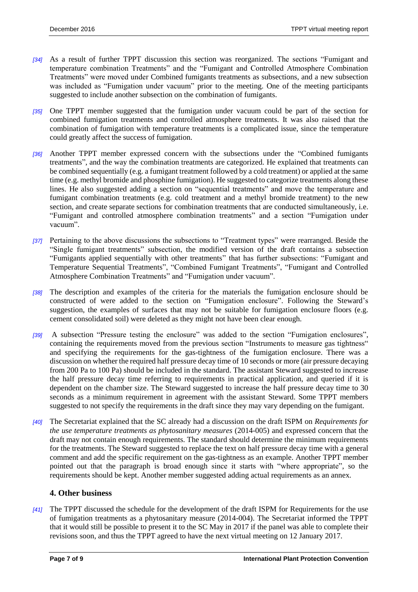- *[34]* As a result of further TPPT discussion this section was reorganized. The sections "Fumigant and temperature combination Treatments" and the "Fumigant and Controlled Atmosphere Combination Treatments" were moved under Combined fumigants treatments as subsections, and a new subsection was included as "Fumigation under vacuum" prior to the meeting. One of the meeting participants suggested to include another subsection on the combination of fumigants.
- *[35]* One TPPT member suggested that the fumigation under vacuum could be part of the section for combined fumigation treatments and controlled atmosphere treatments. It was also raised that the combination of fumigation with temperature treatments is a complicated issue, since the temperature could greatly affect the success of fumigation.
- *[36]* Another TPPT member expressed concern with the subsections under the "Combined fumigants treatments", and the way the combination treatments are categorized. He explained that treatments can be combined sequentially (e.g. a fumigant treatment followed by a cold treatment) or applied at the same time (e.g. methyl bromide and phosphine fumigation). He suggested to categorize treatments along these lines. He also suggested adding a section on "sequential treatments" and move the temperature and fumigant combination treatments (e.g. cold treatment and a methyl bromide treatment) to the new section, and create separate sections for combination treatments that are conducted simultaneously, i.e. "Fumigant and controlled atmosphere combination treatments" and a section "Fumigation under vacuum".
- *[37]* Pertaining to the above discussions the subsections to "Treatment types" were rearranged. Beside the "Single fumigant treatments" subsection, the modified version of the draft contains a subsection "Fumigants applied sequentially with other treatments" that has further subsections: "Fumigant and Temperature Sequential Treatments", "Combined Fumigant Treatments", "Fumigant and Controlled Atmosphere Combination Treatments" and "Fumigation under vacuum".
- *[38]* The description and examples of the criteria for the materials the fumigation enclosure should be constructed of were added to the section on "Fumigation enclosure". Following the Steward's suggestion, the examples of surfaces that may not be suitable for fumigation enclosure floors (e.g. cement consolidated soil) were deleted as they might not have been clear enough.
- *[39]* A subsection "Pressure testing the enclosure" was added to the section "Fumigation enclosures", containing the requirements moved from the previous section "Instruments to measure gas tightness" and specifying the requirements for the gas-tightness of the fumigation enclosure. There was a discussion on whether the required half pressure decay time of 10 seconds or more (air pressure decaying from 200 Pa to 100 Pa) should be included in the standard. The assistant Steward suggested to increase the half pressure decay time referring to requirements in practical application, and queried if it is dependent on the chamber size. The Steward suggested to increase the half pressure decay time to 30 seconds as a minimum requirement in agreement with the assistant Steward. Some TPPT members suggested to not specify the requirements in the draft since they may vary depending on the fumigant.
- *[40]* The Secretariat explained that the SC already had a discussion on the draft ISPM on *Requirements for the use temperature treatments as phytosanitary measures* (2014-005) and expressed concern that the draft may not contain enough requirements. The standard should determine the minimum requirements for the treatments. The Steward suggested to replace the text on half pressure decay time with a general comment and add the specific requirement on the gas-tightness as an example. Another TPPT member pointed out that the paragraph is broad enough since it starts with "where appropriate", so the requirements should be kept. Another member suggested adding actual requirements as an annex.

#### <span id="page-6-0"></span>**4. Other business**

*[41]* The TPPT discussed the schedule for the development of the draft ISPM for Requirements for the use of fumigation treatments as a phytosanitary measure (2014-004). The Secretariat informed the TPPT that it would still be possible to present it to the SC May in 2017 if the panel was able to complete their revisions soon, and thus the TPPT agreed to have the next virtual meeting on 12 January 2017.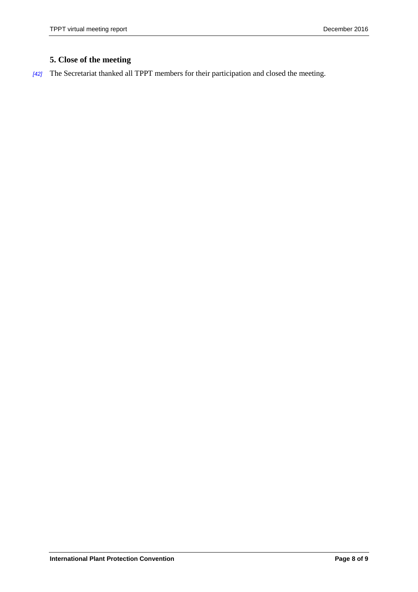# <span id="page-7-0"></span>**5. Close of the meeting**

*[42]* The Secretariat thanked all TPPT members for their participation and closed the meeting.